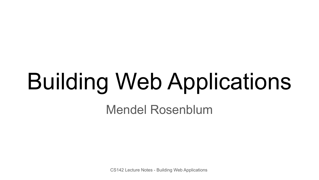# Building Web Applications

Mendel Rosenblum

CS142 Lecture Notes - Building Web Applications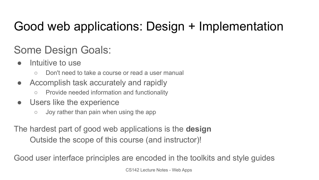# Good web applications: Design + Implementation

#### Some Design Goals:

- Intuitive to use
	- Don't need to take a course or read a user manual
- Accomplish task accurately and rapidly
	- Provide needed information and functionality
- Users like the experience
	- $\circ$  Joy rather than pain when using the app

The hardest part of good web applications is the **design**

Outside the scope of this course (and instructor)!

Good user interface principles are encoded in the toolkits and style guides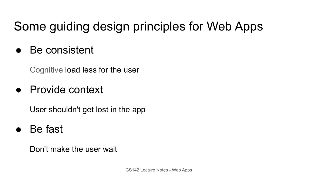# Some guiding design principles for Web Apps

● Be consistent

Cognitive load less for the user

● Provide context

User shouldn't get lost in the app

Be fast

Don't make the user wait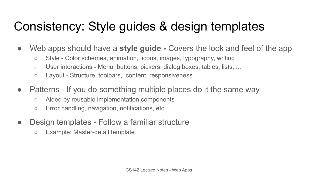# Consistency: Style guides & design templates

- Web apps should have a **style guide** Covers the look and feel of the app
	- Style Color schemes, animation, icons, images, typography, writing
	- User interactions Menu, buttons, pickers, dialog boxes, tables, lists, ...
	- Layout Structure, toolbars, content, responsiveness
- Patterns If you do something multiple places do it the same way
	- Aided by reusable implementation components
	- Error handling, navigation, notifications, etc.
- Design templates Follow a familiar structure
	- Example: Master-detail template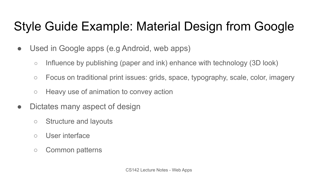# Style Guide Example: Material Design from Google

- Used in Google apps (e.g Android, web apps)
	- Influence by publishing (paper and ink) enhance with technology (3D look)
	- Focus on traditional print issues: grids, space, typography, scale, color, imagery
	- Heavy use of animation to convey action
- Dictates many aspect of design
	- Structure and layouts
	- User interface
	- Common patterns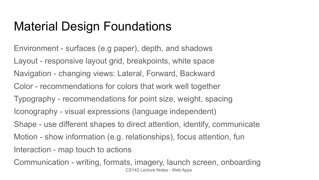# Material Design Foundations

Environment - surfaces (e.g paper), depth, and shadows Layout - responsive layout grid, breakpoints, white space Navigation - changing views: Lateral, Forward, Backward Color - recommendations for colors that work well together Typography - recommendations for point size, weight, spacing Iconography - visual expressions (language independent) Shape - use different shapes to direct attention, identify, communicate Motion - show information (e.g. relationships), focus attention, fun Interaction - map touch to actions Communication - writing, formats, imagery, launch screen, onboarding

CS142 Lecture Notes - Web Apps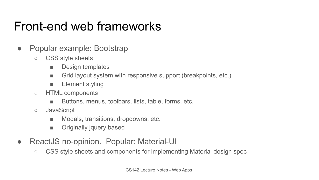### Front-end web frameworks

- Popular example: Bootstrap
	- CSS style sheets
		- Design templates
		- Grid layout system with responsive support (breakpoints, etc.)
		- Element styling
	- HTML components
		- Buttons, menus, toolbars, lists, table, forms, etc.
	- JavaScript
		- Modals, transitions, dropdowns, etc.
		- Originally jquery based
- ReactJS no-opinion. Popular: Material-UI
	- CSS style sheets and components for implementing Material design spec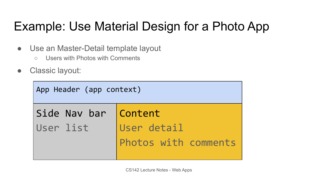# Example: Use Material Design for a Photo App

- Use an Master-Detail template layout
	- Users with Photos with Comments
- Classic layout:

| App Header (app context) |                                     |  |
|--------------------------|-------------------------------------|--|
| Side Nav bar Content     |                                     |  |
| User list                | User detail<br>Photos with comments |  |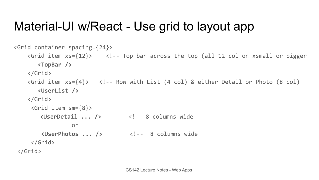#### Material-UI w/React - Use grid to layout app

```
<Grid container spacing={24}>
    \langleGrid item xs={12}> \langle \langle!-- Top bar across the top (all 12 col on xsmall or bigger
       <TopBar />
     </Grid>
    \langleGrid item xs=\{4\}> \langle!-- Row with List (4 col) & either Detail or Photo (8 col)
       <UserList />
     </Grid>
      <Grid item sm={8}>
        <UserDetail ... /> <!-- 8 columns wide
 or
         <UserPhotos ... /> <!-- 8 columns wide
      </Grid>
 </Grid>
```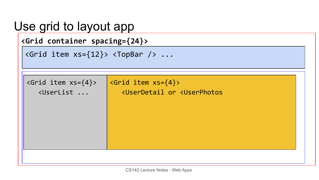| Use grid to layout app<br><grid container="" spacing="{24}"><br/><math>\langle</math>Grid item xs={12}&gt; <math>\langle</math>TopBar <math>/</math>&gt; </grid>                                                   |                                                                                                      |  |
|--------------------------------------------------------------------------------------------------------------------------------------------------------------------------------------------------------------------|------------------------------------------------------------------------------------------------------|--|
| $\langle$ Grid item $xs=\{4\}\rangle$<br><userlist <="" td=""><td><math>\zeta</math> &lt; Grid item <math>xs = \{4\}</math>&gt;<br/><userdetail <userphotos<="" or="" td=""><td></td></userdetail></td></userlist> | $\zeta$ < Grid item $xs = \{4\}$ ><br><userdetail <userphotos<="" or="" td=""><td></td></userdetail> |  |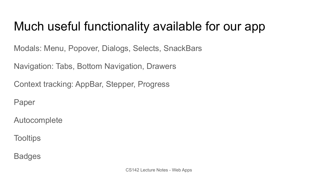## Much useful functionality available for our app

Modals: Menu, Popover, Dialogs, Selects, SnackBars

Navigation: Tabs, Bottom Navigation, Drawers

Context tracking: AppBar, Stepper, Progress

Paper

Autocomplete

**Tooltips** 

**Badges**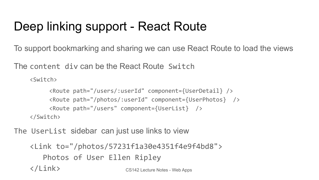# Deep linking support - React Route

To support bookmarking and sharing we can use React Route to load the views

The content div can be the React Route Switch

```
<Switch>
```

```
 <Route path="/users/:userId" component={UserDetail} />
      <Route path="/photos/:userId" component={UserPhotos} />
      <Route path="/users" component={UserList} />
</Switch>
```
The UserList sidebar can just use links to view

```
CS142 Lecture Notes - Web Apps
<Link to="/photos/57231f1a30e4351f4e9f4bd8">
    Photos of User Ellen Ripley 
</Link>
```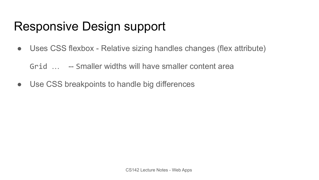# Responsive Design support

• Uses CSS flexbox - Relative sizing handles changes (flex attribute)

Grid … -- Smaller widths will have smaller content area

● Use CSS breakpoints to handle big differences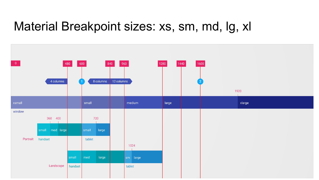#### Material Breakpoint sizes: xs, sm, md, lg, xl

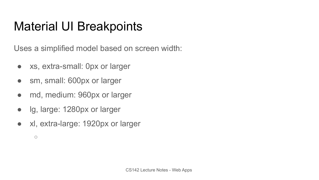# Material UI Breakpoints

Uses a simplified model based on screen width:

- xs, extra-small: 0px or larger
- sm, small: 600px or larger
- md, medium: 960px or larger
- lg, large: 1280px or larger
- xl, extra-large: 1920px or larger

 $\circ$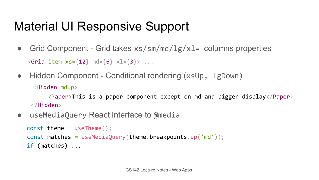# Material UI Responsive Support

- Grid Component Grid takes  $xs/sm/mol/lg/xl=$  columns properties  $\langle$ Grid item  $xs = \{12\}$  md= $\{6\}$  xl= $\{3\}$ > ...
- Hidden Component Conditional rendering (xsUp, 1gDown) <Hidden mdUp>

 <Paper>This is a paper component except on md and bigger display</Paper>  $\langle$ /Hidden $\rangle$ 

• useMediaQuery React interface to @media

```
 const theme = useTheme();
const matches = useMediaQuery(theme.breakpoints.up('md'));
 if (matches) ...
```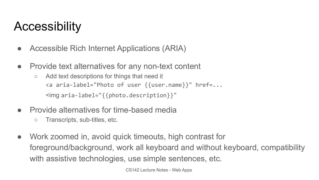## **Accessibility**

- Accessible Rich Internet Applications (ARIA)
- Provide text alternatives for any non-text content
	- Add text descriptions for things that need it <a aria-label="Photo of user {{user.name}}" href=... <img aria-label="{{photo.description}}"
- Provide alternatives for time-based media
	- Transcripts, sub-titles, etc.
- Work zoomed in, avoid quick timeouts, high contrast for foreground/background, work all keyboard and without keyboard, compatibility with assistive technologies, use simple sentences, etc.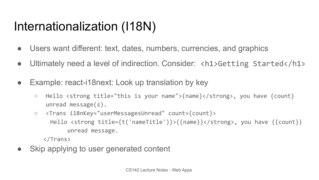# Internationalization (I18N)

- Users want different: text, dates, numbers, currencies, and graphics
- Ultimately need a level of indirection. Consider: <h1>Getting Started</h1>
- Example: react-i18next: Look up translation by key
	- Hello <strong title="this is your name">{name}</strong>, you have {count} unread message(s).
	- <Trans i18nKey="userMessagesUnread" count={count}> Hello <strong title={t('nameTitle')}>{{name}}</strong>, you have {{count}} unread message.

</Trans>

Skip applying to user generated content